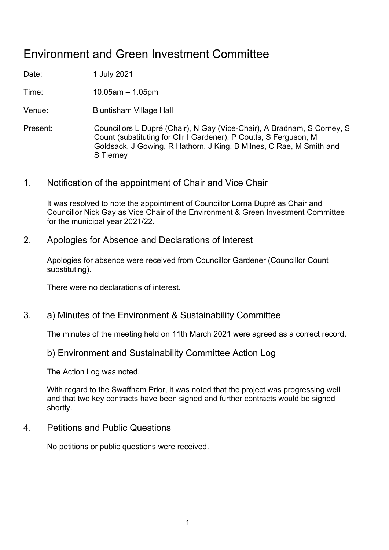## Environment and Green Investment Committee

Date: 1 July 2021

Time: 10.05am – 1.05pm

Venue: Bluntisham Village Hall

- Present: Councillors L Dupré (Chair), N Gay (Vice-Chair), A Bradnam, S Corney, S Count (substituting for Cllr I Gardener), P Coutts, S Ferguson, M Goldsack, J Gowing, R Hathorn, J King, B Milnes, C Rae, M Smith and S Tierney
- 1. Notification of the appointment of Chair and Vice Chair

It was resolved to note the appointment of Councillor Lorna Dupré as Chair and Councillor Nick Gay as Vice Chair of the Environment & Green Investment Committee for the municipal year 2021/22.

2. Apologies for Absence and Declarations of Interest

Apologies for absence were received from Councillor Gardener (Councillor Count substituting).

There were no declarations of interest.

3. a) Minutes of the Environment & Sustainability Committee

The minutes of the meeting held on 11th March 2021 were agreed as a correct record.

## b) Environment and Sustainability Committee Action Log

The Action Log was noted.

With regard to the Swaffham Prior, it was noted that the project was progressing well and that two key contracts have been signed and further contracts would be signed shortly.

4. Petitions and Public Questions

No petitions or public questions were received.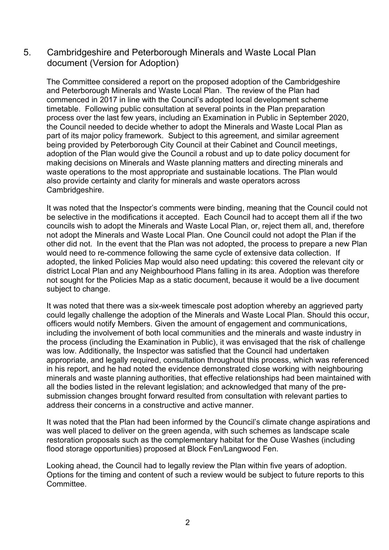### 5. Cambridgeshire and Peterborough Minerals and Waste Local Plan document (Version for Adoption)

The Committee considered a report on the proposed adoption of the Cambridgeshire and Peterborough Minerals and Waste Local Plan. The review of the Plan had commenced in 2017 in line with the Council's adopted local development scheme timetable. Following public consultation at several points in the Plan preparation process over the last few years, including an Examination in Public in September 2020, the Council needed to decide whether to adopt the Minerals and Waste Local Plan as part of its major policy framework. Subject to this agreement, and similar agreement being provided by Peterborough City Council at their Cabinet and Council meetings, adoption of the Plan would give the Council a robust and up to date policy document for making decisions on Minerals and Waste planning matters and directing minerals and waste operations to the most appropriate and sustainable locations. The Plan would also provide certainty and clarity for minerals and waste operators across Cambridgeshire.

It was noted that the Inspector's comments were binding, meaning that the Council could not be selective in the modifications it accepted. Each Council had to accept them all if the two councils wish to adopt the Minerals and Waste Local Plan, or, reject them all, and, therefore not adopt the Minerals and Waste Local Plan. One Council could not adopt the Plan if the other did not. In the event that the Plan was not adopted, the process to prepare a new Plan would need to re-commence following the same cycle of extensive data collection. If adopted, the linked Policies Map would also need updating: this covered the relevant city or district Local Plan and any Neighbourhood Plans falling in its area. Adoption was therefore not sought for the Policies Map as a static document, because it would be a live document subject to change.

It was noted that there was a six-week timescale post adoption whereby an aggrieved party could legally challenge the adoption of the Minerals and Waste Local Plan. Should this occur, officers would notify Members. Given the amount of engagement and communications, including the involvement of both local communities and the minerals and waste industry in the process (including the Examination in Public), it was envisaged that the risk of challenge was low. Additionally, the Inspector was satisfied that the Council had undertaken appropriate, and legally required, consultation throughout this process, which was referenced in his report, and he had noted the evidence demonstrated close working with neighbouring minerals and waste planning authorities, that effective relationships had been maintained with all the bodies listed in the relevant legislation; and acknowledged that many of the presubmission changes brought forward resulted from consultation with relevant parties to address their concerns in a constructive and active manner.

It was noted that the Plan had been informed by the Council's climate change aspirations and was well placed to deliver on the green agenda, with such schemes as landscape scale restoration proposals such as the complementary habitat for the Ouse Washes (including flood storage opportunities) proposed at Block Fen/Langwood Fen.

Looking ahead, the Council had to legally review the Plan within five years of adoption. Options for the timing and content of such a review would be subject to future reports to this **Committee**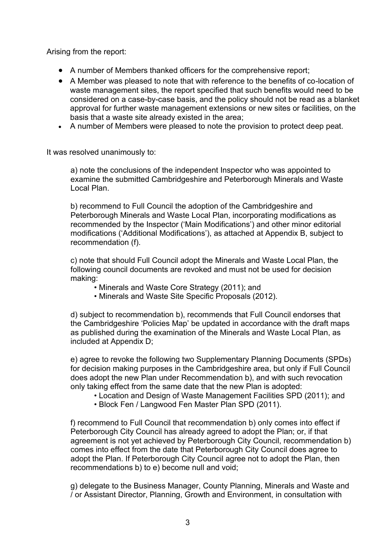Arising from the report:

- A number of Members thanked officers for the comprehensive report;
- A Member was pleased to note that with reference to the benefits of co-location of waste management sites, the report specified that such benefits would need to be considered on a case-by-case basis, and the policy should not be read as a blanket approval for further waste management extensions or new sites or facilities, on the basis that a waste site already existed in the area;
- A number of Members were pleased to note the provision to protect deep peat.

It was resolved unanimously to:

a) note the conclusions of the independent Inspector who was appointed to examine the submitted Cambridgeshire and Peterborough Minerals and Waste Local Plan.

b) recommend to Full Council the adoption of the Cambridgeshire and Peterborough Minerals and Waste Local Plan, incorporating modifications as recommended by the Inspector ('Main Modifications') and other minor editorial modifications ('Additional Modifications'), as attached at Appendix B, subject to recommendation (f).

c) note that should Full Council adopt the Minerals and Waste Local Plan, the following council documents are revoked and must not be used for decision making:

- Minerals and Waste Core Strategy (2011); and
- Minerals and Waste Site Specific Proposals (2012).

d) subject to recommendation b), recommends that Full Council endorses that the Cambridgeshire 'Policies Map' be updated in accordance with the draft maps as published during the examination of the Minerals and Waste Local Plan, as included at Appendix D;

e) agree to revoke the following two Supplementary Planning Documents (SPDs) for decision making purposes in the Cambridgeshire area, but only if Full Council does adopt the new Plan under Recommendation b), and with such revocation only taking effect from the same date that the new Plan is adopted:

- Location and Design of Waste Management Facilities SPD (2011); and
- Block Fen / Langwood Fen Master Plan SPD (2011).

f) recommend to Full Council that recommendation b) only comes into effect if Peterborough City Council has already agreed to adopt the Plan; or, if that agreement is not yet achieved by Peterborough City Council, recommendation b) comes into effect from the date that Peterborough City Council does agree to adopt the Plan. If Peterborough City Council agree not to adopt the Plan, then recommendations b) to e) become null and void;

g) delegate to the Business Manager, County Planning, Minerals and Waste and / or Assistant Director, Planning, Growth and Environment, in consultation with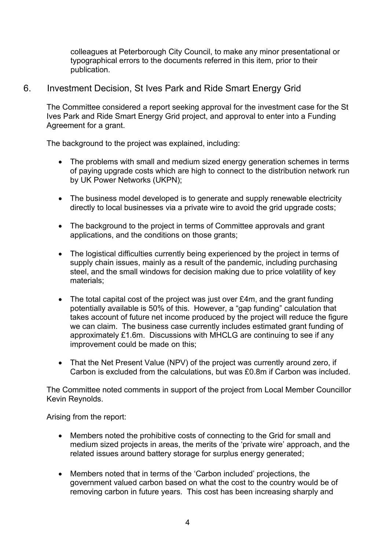colleagues at Peterborough City Council, to make any minor presentational or typographical errors to the documents referred in this item, prior to their publication.

### 6. Investment Decision, St Ives Park and Ride Smart Energy Grid

The Committee considered a report seeking approval for the investment case for the St Ives Park and Ride Smart Energy Grid project, and approval to enter into a Funding Agreement for a grant.

The background to the project was explained, including:

- The problems with small and medium sized energy generation schemes in terms of paying upgrade costs which are high to connect to the distribution network run by UK Power Networks (UKPN);
- The business model developed is to generate and supply renewable electricity directly to local businesses via a private wire to avoid the grid upgrade costs;
- The background to the project in terms of Committee approvals and grant applications, and the conditions on those grants;
- The logistical difficulties currently being experienced by the project in terms of supply chain issues, mainly as a result of the pandemic, including purchasing steel, and the small windows for decision making due to price volatility of key materials;
- The total capital cost of the project was just over £4m, and the grant funding potentially available is 50% of this. However, a "gap funding" calculation that takes account of future net income produced by the project will reduce the figure we can claim. The business case currently includes estimated grant funding of approximately £1.6m. Discussions with MHCLG are continuing to see if any improvement could be made on this;
- That the Net Present Value (NPV) of the project was currently around zero, if Carbon is excluded from the calculations, but was £0.8m if Carbon was included.

The Committee noted comments in support of the project from Local Member Councillor Kevin Reynolds.

Arising from the report:

- Members noted the prohibitive costs of connecting to the Grid for small and medium sized projects in areas, the merits of the 'private wire' approach, and the related issues around battery storage for surplus energy generated;
- Members noted that in terms of the 'Carbon included' projections, the government valued carbon based on what the cost to the country would be of removing carbon in future years. This cost has been increasing sharply and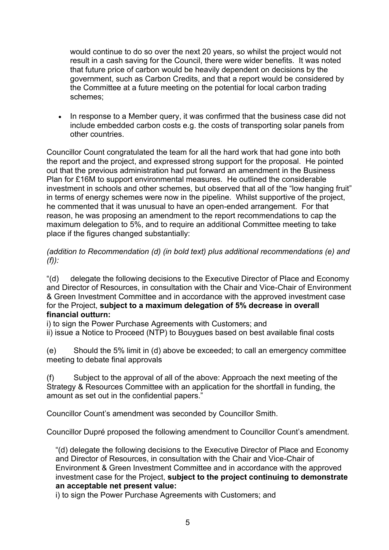would continue to do so over the next 20 years, so whilst the project would not result in a cash saving for the Council, there were wider benefits. It was noted that future price of carbon would be heavily dependent on decisions by the government, such as Carbon Credits, and that a report would be considered by the Committee at a future meeting on the potential for local carbon trading schemes;

• In response to a Member query, it was confirmed that the business case did not include embedded carbon costs e.g. the costs of transporting solar panels from other countries.

Councillor Count congratulated the team for all the hard work that had gone into both the report and the project, and expressed strong support for the proposal. He pointed out that the previous administration had put forward an amendment in the Business Plan for £16M to support environmental measures. He outlined the considerable investment in schools and other schemes, but observed that all of the "low hanging fruit" in terms of energy schemes were now in the pipeline. Whilst supportive of the project, he commented that it was unusual to have an open-ended arrangement. For that reason, he was proposing an amendment to the report recommendations to cap the maximum delegation to 5%, and to require an additional Committee meeting to take place if the figures changed substantially:

*(addition to Recommendation (d) (in bold text) plus additional recommendations (e) and (f)):*

"(d) delegate the following decisions to the Executive Director of Place and Economy and Director of Resources, in consultation with the Chair and Vice-Chair of Environment & Green Investment Committee and in accordance with the approved investment case for the Project, **subject to a maximum delegation of 5% decrease in overall financial outturn:**

i) to sign the Power Purchase Agreements with Customers; and

ii) issue a Notice to Proceed (NTP) to Bouygues based on best available final costs

(e) Should the 5% limit in (d) above be exceeded; to call an emergency committee meeting to debate final approvals

(f) Subject to the approval of all of the above: Approach the next meeting of the Strategy & Resources Committee with an application for the shortfall in funding, the amount as set out in the confidential papers."

Councillor Count's amendment was seconded by Councillor Smith.

Councillor Dupré proposed the following amendment to Councillor Count's amendment.

"(d) delegate the following decisions to the Executive Director of Place and Economy and Director of Resources, in consultation with the Chair and Vice-Chair of Environment & Green Investment Committee and in accordance with the approved investment case for the Project, **subject to the project continuing to demonstrate an acceptable net present value:**

i) to sign the Power Purchase Agreements with Customers; and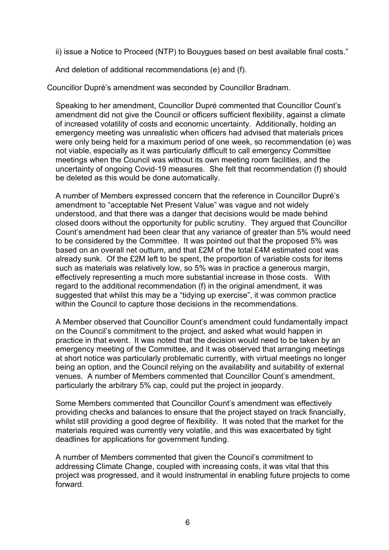ii) issue a Notice to Proceed (NTP) to Bouygues based on best available final costs."

And deletion of additional recommendations (e) and (f).

Councillor Dupré's amendment was seconded by Councillor Bradnam.

Speaking to her amendment, Councillor Dupré commented that Councillor Count's amendment did not give the Council or officers sufficient flexibility, against a climate of increased volatility of costs and economic uncertainty. Additionally, holding an emergency meeting was unrealistic when officers had advised that materials prices were only being held for a maximum period of one week, so recommendation (e) was not viable, especially as it was particularly difficult to call emergency Committee meetings when the Council was without its own meeting room facilities, and the uncertainty of ongoing Covid-19 measures. She felt that recommendation (f) should be deleted as this would be done automatically.

A number of Members expressed concern that the reference in Councillor Dupré's amendment to "acceptable Net Present Value" was vague and not widely understood, and that there was a danger that decisions would be made behind closed doors without the opportunity for public scrutiny. They argued that Councillor Count's amendment had been clear that any variance of greater than 5% would need to be considered by the Committee. It was pointed out that the proposed 5% was based on an overall net outturn, and that £2M of the total £4M estimated cost was already sunk. Of the £2M left to be spent, the proportion of variable costs for items such as materials was relatively low, so 5% was in practice a generous margin, effectively representing a much more substantial increase in those costs. With regard to the additional recommendation (f) in the original amendment, it was suggested that whilst this may be a "tidying up exercise", it was common practice within the Council to capture those decisions in the recommendations.

A Member observed that Councillor Count's amendment could fundamentally impact on the Council's commitment to the project, and asked what would happen in practice in that event. It was noted that the decision would need to be taken by an emergency meeting of the Committee, and it was observed that arranging meetings at short notice was particularly problematic currently, with virtual meetings no longer being an option, and the Council relying on the availability and suitability of external venues. A number of Members commented that Councillor Count's amendment, particularly the arbitrary 5% cap, could put the project in jeopardy.

Some Members commented that Councillor Count's amendment was effectively providing checks and balances to ensure that the project stayed on track financially, whilst still providing a good degree of flexibility. It was noted that the market for the materials required was currently very volatile, and this was exacerbated by tight deadlines for applications for government funding.

A number of Members commented that given the Council's commitment to addressing Climate Change, coupled with increasing costs, it was vital that this project was progressed, and it would instrumental in enabling future projects to come forward.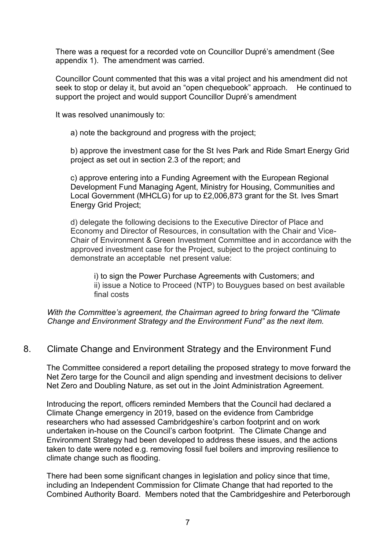There was a request for a recorded vote on Councillor Dupré's amendment (See appendix 1). The amendment was carried.

Councillor Count commented that this was a vital project and his amendment did not seek to stop or delay it, but avoid an "open chequebook" approach. He continued to support the project and would support Councillor Dupré's amendment

It was resolved unanimously to:

a) note the background and progress with the project;

b) approve the investment case for the St Ives Park and Ride Smart Energy Grid project as set out in section 2.3 of the report; and

c) approve entering into a Funding Agreement with the European Regional Development Fund Managing Agent, Ministry for Housing, Communities and Local Government (MHCLG) for up to £2,006,873 grant for the St. Ives Smart Energy Grid Project;

d) delegate the following decisions to the Executive Director of Place and Economy and Director of Resources, in consultation with the Chair and Vice-Chair of Environment & Green Investment Committee and in accordance with the approved investment case for the Project, subject to the project continuing to demonstrate an acceptable net present value:

i) to sign the Power Purchase Agreements with Customers; and ii) issue a Notice to Proceed (NTP) to Bouygues based on best available final costs

*With the Committee's agreement, the Chairman agreed to bring forward the "Climate Change and Environment Strategy and the Environment Fund" as the next item.*

### 8. Climate Change and Environment Strategy and the Environment Fund

The Committee considered a report detailing the proposed strategy to move forward the Net Zero targe for the Council and align spending and investment decisions to deliver Net Zero and Doubling Nature, as set out in the Joint Administration Agreement.

Introducing the report, officers reminded Members that the Council had declared a Climate Change emergency in 2019, based on the evidence from Cambridge researchers who had assessed Cambridgeshire's carbon footprint and on work undertaken in-house on the Council's carbon footprint. The Climate Change and Environment Strategy had been developed to address these issues, and the actions taken to date were noted e.g. removing fossil fuel boilers and improving resilience to climate change such as flooding.

There had been some significant changes in legislation and policy since that time, including an Independent Commission for Climate Change that had reported to the Combined Authority Board. Members noted that the Cambridgeshire and Peterborough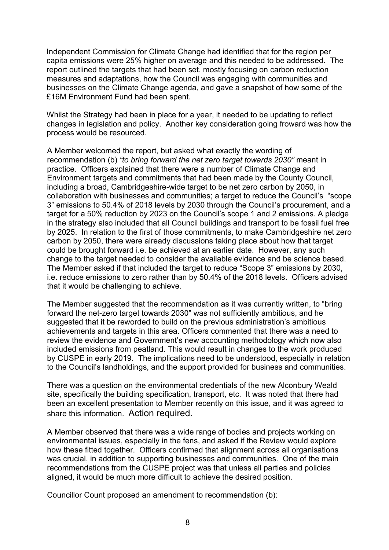Independent Commission for Climate Change had identified that for the region per capita emissions were 25% higher on average and this needed to be addressed. The report outlined the targets that had been set, mostly focusing on carbon reduction measures and adaptations, how the Council was engaging with communities and businesses on the Climate Change agenda, and gave a snapshot of how some of the £16M Environment Fund had been spent.

Whilst the Strategy had been in place for a year, it needed to be updating to reflect changes in legislation and policy. Another key consideration going froward was how the process would be resourced.

A Member welcomed the report, but asked what exactly the wording of recommendation (b) *"to bring forward the net zero target towards 2030"* meant in practice. Officers explained that there were a number of Climate Change and Environment targets and commitments that had been made by the County Council, including a broad, Cambridgeshire-wide target to be net zero carbon by 2050, in collaboration with businesses and communities; a target to reduce the Council's "scope 3" emissions to 50.4% of 2018 levels by 2030 through the Council's procurement, and a target for a 50% reduction by 2023 on the Council's scope 1 and 2 emissions. A pledge in the strategy also included that all Council buildings and transport to be fossil fuel free by 2025. In relation to the first of those commitments, to make Cambridgeshire net zero carbon by 2050, there were already discussions taking place about how that target could be brought forward i.e. be achieved at an earlier date. However, any such change to the target needed to consider the available evidence and be science based. The Member asked if that included the target to reduce "Scope 3" emissions by 2030, i.e. reduce emissions to zero rather than by 50.4% of the 2018 levels. Officers advised that it would be challenging to achieve.

The Member suggested that the recommendation as it was currently written, to "bring forward the net-zero target towards 2030" was not sufficiently ambitious, and he suggested that it be reworded to build on the previous administration's ambitious achievements and targets in this area. Officers commented that there was a need to review the evidence and Government's new accounting methodology which now also included emissions from peatland. This would result in changes to the work produced by CUSPE in early 2019. The implications need to be understood, especially in relation to the Council's landholdings, and the support provided for business and communities.

There was a question on the environmental credentials of the new Alconbury Weald site, specifically the building specification, transport, etc. It was noted that there had been an excellent presentation to Member recently on this issue, and it was agreed to share this information. Action required.

A Member observed that there was a wide range of bodies and projects working on environmental issues, especially in the fens, and asked if the Review would explore how these fitted together. Officers confirmed that alignment across all organisations was crucial, in addition to supporting businesses and communities. One of the main recommendations from the CUSPE project was that unless all parties and policies aligned, it would be much more difficult to achieve the desired position.

Councillor Count proposed an amendment to recommendation (b):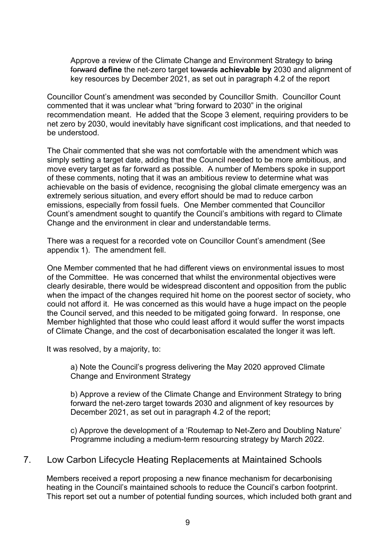Approve a review of the Climate Change and Environment Strategy to bring forward **define** the net-zero target towards **achievable by** 2030 and alignment of key resources by December 2021, as set out in paragraph 4.2 of the report

Councillor Count's amendment was seconded by Councillor Smith. Councillor Count commented that it was unclear what "bring forward to 2030" in the original recommendation meant. He added that the Scope 3 element, requiring providers to be net zero by 2030, would inevitably have significant cost implications, and that needed to be understood.

The Chair commented that she was not comfortable with the amendment which was simply setting a target date, adding that the Council needed to be more ambitious, and move every target as far forward as possible. A number of Members spoke in support of these comments, noting that it was an ambitious review to determine what was achievable on the basis of evidence, recognising the global climate emergency was an extremely serious situation, and every effort should be mad to reduce carbon emissions, especially from fossil fuels. One Member commented that Councillor Count's amendment sought to quantify the Council's ambitions with regard to Climate Change and the environment in clear and understandable terms.

There was a request for a recorded vote on Councillor Count's amendment (See appendix 1). The amendment fell.

One Member commented that he had different views on environmental issues to most of the Committee. He was concerned that whilst the environmental objectives were clearly desirable, there would be widespread discontent and opposition from the public when the impact of the changes required hit home on the poorest sector of society, who could not afford it. He was concerned as this would have a huge impact on the people the Council served, and this needed to be mitigated going forward. In response, one Member highlighted that those who could least afford it would suffer the worst impacts of Climate Change, and the cost of decarbonisation escalated the longer it was left.

It was resolved, by a majority, to:

a) Note the Council's progress delivering the May 2020 approved Climate Change and Environment Strategy

b) Approve a review of the Climate Change and Environment Strategy to bring forward the net-zero target towards 2030 and alignment of key resources by December 2021, as set out in paragraph 4.2 of the report;

c) Approve the development of a 'Routemap to Net-Zero and Doubling Nature' Programme including a medium-term resourcing strategy by March 2022.

### 7. Low Carbon Lifecycle Heating Replacements at Maintained Schools

Members received a report proposing a new finance mechanism for decarbonising heating in the Council's maintained schools to reduce the Council's carbon footprint. This report set out a number of potential funding sources, which included both grant and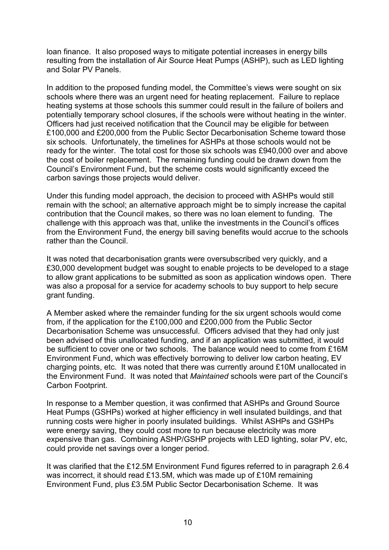loan finance. It also proposed ways to mitigate potential increases in energy bills resulting from the installation of Air Source Heat Pumps (ASHP), such as LED lighting and Solar PV Panels.

In addition to the proposed funding model, the Committee's views were sought on six schools where there was an urgent need for heating replacement. Failure to replace heating systems at those schools this summer could result in the failure of boilers and potentially temporary school closures, if the schools were without heating in the winter. Officers had just received notification that the Council may be eligible for between £100,000 and £200,000 from the Public Sector Decarbonisation Scheme toward those six schools. Unfortunately, the timelines for ASHPs at those schools would not be ready for the winter. The total cost for those six schools was £940,000 over and above the cost of boiler replacement. The remaining funding could be drawn down from the Council's Environment Fund, but the scheme costs would significantly exceed the carbon savings those projects would deliver.

Under this funding model approach, the decision to proceed with ASHPs would still remain with the school; an alternative approach might be to simply increase the capital contribution that the Council makes, so there was no loan element to funding. The challenge with this approach was that, unlike the investments in the Council's offices from the Environment Fund, the energy bill saving benefits would accrue to the schools rather than the Council.

It was noted that decarbonisation grants were oversubscribed very quickly, and a £30,000 development budget was sought to enable projects to be developed to a stage to allow grant applications to be submitted as soon as application windows open. There was also a proposal for a service for academy schools to buy support to help secure grant funding.

A Member asked where the remainder funding for the six urgent schools would come from, if the application for the £100,000 and £200,000 from the Public Sector Decarbonisation Scheme was unsuccessful. Officers advised that they had only just been advised of this unallocated funding, and if an application was submitted, it would be sufficient to cover one or two schools. The balance would need to come from £16M Environment Fund, which was effectively borrowing to deliver low carbon heating, EV charging points, etc. It was noted that there was currently around £10M unallocated in the Environment Fund. It was noted that *Maintained* schools were part of the Council's Carbon Footprint.

In response to a Member question, it was confirmed that ASHPs and Ground Source Heat Pumps (GSHPs) worked at higher efficiency in well insulated buildings, and that running costs were higher in poorly insulated buildings. Whilst ASHPs and GSHPs were energy saving, they could cost more to run because electricity was more expensive than gas. Combining ASHP/GSHP projects with LED lighting, solar PV, etc, could provide net savings over a longer period.

It was clarified that the £12.5M Environment Fund figures referred to in paragraph 2.6.4 was incorrect, it should read £13.5M, which was made up of £10M remaining Environment Fund, plus £3.5M Public Sector Decarbonisation Scheme. It was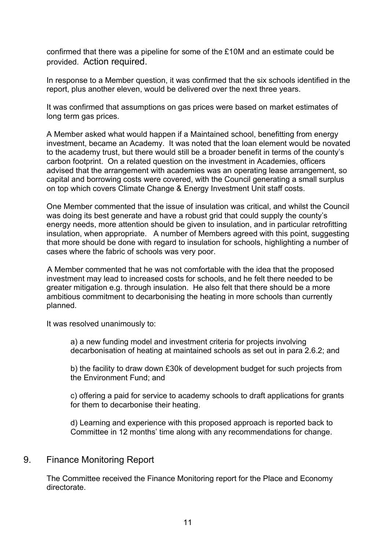confirmed that there was a pipeline for some of the £10M and an estimate could be provided. Action required.

In response to a Member question, it was confirmed that the six schools identified in the report, plus another eleven, would be delivered over the next three years.

It was confirmed that assumptions on gas prices were based on market estimates of long term gas prices.

A Member asked what would happen if a Maintained school, benefitting from energy investment, became an Academy. It was noted that the loan element would be novated to the academy trust, but there would still be a broader benefit in terms of the county's carbon footprint. On a related question on the investment in Academies, officers advised that the arrangement with academies was an operating lease arrangement, so capital and borrowing costs were covered, with the Council generating a small surplus on top which covers Climate Change & Energy Investment Unit staff costs.

One Member commented that the issue of insulation was critical, and whilst the Council was doing its best generate and have a robust grid that could supply the county's energy needs, more attention should be given to insulation, and in particular retrofitting insulation, when appropriate. A number of Members agreed with this point, suggesting that more should be done with regard to insulation for schools, highlighting a number of cases where the fabric of schools was very poor.

A Member commented that he was not comfortable with the idea that the proposed investment may lead to increased costs for schools, and he felt there needed to be greater mitigation e.g. through insulation. He also felt that there should be a more ambitious commitment to decarbonising the heating in more schools than currently planned.

It was resolved unanimously to:

a) a new funding model and investment criteria for projects involving decarbonisation of heating at maintained schools as set out in para 2.6.2; and

b) the facility to draw down £30k of development budget for such projects from the Environment Fund; and

c) offering a paid for service to academy schools to draft applications for grants for them to decarbonise their heating.

d) Learning and experience with this proposed approach is reported back to Committee in 12 months' time along with any recommendations for change.

#### 9. Finance Monitoring Report

The Committee received the Finance Monitoring report for the Place and Economy directorate.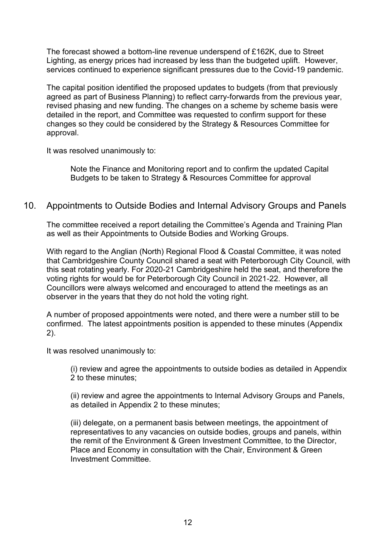The forecast showed a bottom-line revenue underspend of £162K, due to Street Lighting, as energy prices had increased by less than the budgeted uplift. However, services continued to experience significant pressures due to the Covid-19 pandemic.

The capital position identified the proposed updates to budgets (from that previously agreed as part of Business Planning) to reflect carry-forwards from the previous year, revised phasing and new funding. The changes on a scheme by scheme basis were detailed in the report, and Committee was requested to confirm support for these changes so they could be considered by the Strategy & Resources Committee for approval.

It was resolved unanimously to:

Note the Finance and Monitoring report and to confirm the updated Capital Budgets to be taken to Strategy & Resources Committee for approval

#### 10. Appointments to Outside Bodies and Internal Advisory Groups and Panels

The committee received a report detailing the Committee's Agenda and Training Plan as well as their Appointments to Outside Bodies and Working Groups.

With regard to the Anglian (North) Regional Flood & Coastal Committee, it was noted that Cambridgeshire County Council shared a seat with Peterborough City Council, with this seat rotating yearly. For 2020-21 Cambridgeshire held the seat, and therefore the voting rights for would be for Peterborough City Council in 2021-22. However, all Councillors were always welcomed and encouraged to attend the meetings as an observer in the years that they do not hold the voting right.

A number of proposed appointments were noted, and there were a number still to be confirmed. The latest appointments position is appended to these minutes (Appendix 2).

It was resolved unanimously to:

(i) review and agree the appointments to outside bodies as detailed in Appendix 2 to these minutes;

(ii) review and agree the appointments to Internal Advisory Groups and Panels, as detailed in Appendix 2 to these minutes;

(iii) delegate, on a permanent basis between meetings, the appointment of representatives to any vacancies on outside bodies, groups and panels, within the remit of the Environment & Green Investment Committee, to the Director, Place and Economy in consultation with the Chair, Environment & Green Investment Committee.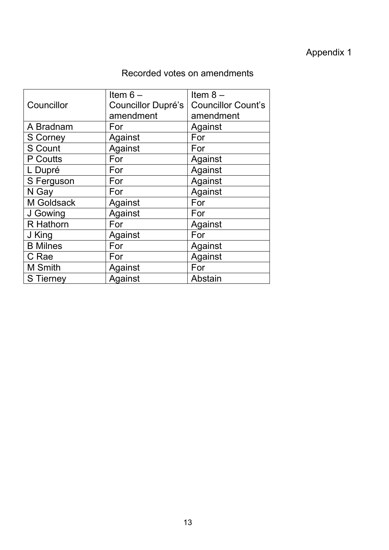## Appendix 1

## Recorded votes on amendments

|                  | Item $6-$          | Item $8-$                 |
|------------------|--------------------|---------------------------|
| Councillor       | Councillor Dupré's | <b>Councillor Count's</b> |
|                  | amendment          | amendment                 |
| A Bradnam        | For                | Against                   |
| S Corney         | Against            | For                       |
| <b>S Count</b>   | Against            | For                       |
| P Coutts         | For                | Against                   |
| L Dupré          | For                | Against                   |
| S Ferguson       | For                | Against                   |
| N Gay            | For                | Against                   |
| M Goldsack       | Against            | For                       |
| J Gowing         | Against            | For                       |
| R Hathorn        | For                | Against                   |
| J King           | Against            | For                       |
| <b>B</b> Milnes  | For                | Against                   |
| C Rae            | For                | Against                   |
| <b>M</b> Smith   | Against            | For                       |
| <b>S</b> Tierney | Against            | Abstain                   |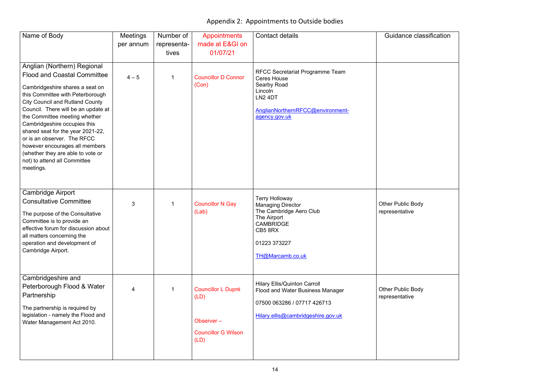## Appendix 2: Appointments to Outside bodies

| Name of Body                                                                                                                                                                                                                                                                                                                                                                                                                                                                       | <b>Meetings</b> | Number of   | <b>Appointments</b>                                                                  | <b>Contact details</b>                                                                                                                                             | Guidance                                |
|------------------------------------------------------------------------------------------------------------------------------------------------------------------------------------------------------------------------------------------------------------------------------------------------------------------------------------------------------------------------------------------------------------------------------------------------------------------------------------|-----------------|-------------|--------------------------------------------------------------------------------------|--------------------------------------------------------------------------------------------------------------------------------------------------------------------|-----------------------------------------|
|                                                                                                                                                                                                                                                                                                                                                                                                                                                                                    | per annum       | representa- | made at E&GI on                                                                      |                                                                                                                                                                    |                                         |
|                                                                                                                                                                                                                                                                                                                                                                                                                                                                                    |                 | tives       | 01/07/21                                                                             |                                                                                                                                                                    |                                         |
| Anglian (Northern) Regional<br><b>Flood and Coastal Committee</b><br>Cambridgeshire shares a seat on<br>this Committee with Peterborough<br><b>City Council and Rutland County</b><br>Council. There will be an update at<br>the Committee meeting whether<br>Cambridgeshire occupies this<br>shared seat for the year 2021-22,<br>or is an observer. The RFCC<br>however encourages all members<br>(whether they are able to vote or<br>not) to attend all Committee<br>meetings. | $4 - 5$         | 1           | <b>Councillor D Connor</b><br>(Con)                                                  | <b>RFCC Secretariat Programme Team</b><br><b>Ceres House</b><br>Searby Road<br>Lincoln<br>LN <sub>2</sub> 4DT<br>AnglianNorthernRFCC@environment-<br>agency.gov.uk |                                         |
| <b>Cambridge Airport</b><br><b>Consultative Committee</b><br>The purpose of the Consultative<br>Committee is to provide an<br>effective forum for discussion about<br>all matters concerning the<br>operation and development of<br>Cambridge Airport.                                                                                                                                                                                                                             | 3               | 1           | <b>Councillor N Gay</b><br>(Lab)                                                     | <b>Terry Holloway</b><br><b>Managing Director</b><br>The Cambridge Aero Club<br>The Airport<br><b>CAMBRIDGE</b><br>CB58RX<br>01223 373227<br>TH@Marcamb.co.uk      | <b>Other Public B</b><br>representative |
| Cambridgeshire and<br>Peterborough Flood & Water<br>Partnership<br>The partnership is required by<br>legislation - namely the Flood and<br>Water Management Act 2010.                                                                                                                                                                                                                                                                                                              | 4               |             | <b>Councillor L Dupré</b><br>(LD)<br>Observer-<br><b>Councillor G Wilson</b><br>(LD) | <b>Hilary Ellis/Quinton Carroll</b><br>Flood and Water Business Manager<br>07500 063286 / 07717 426713<br>Hilary.ellis@cambridgeshire.gov.uk                       | <b>Other Public B</b><br>representative |

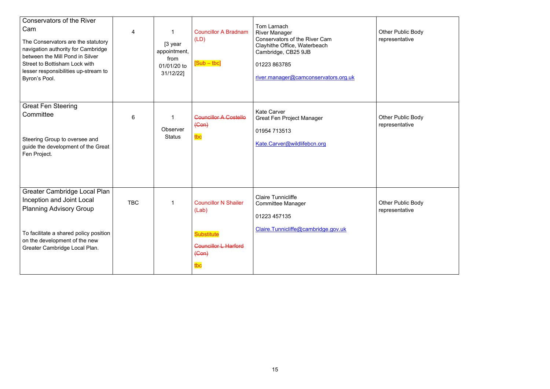| ody |  |  |
|-----|--|--|
| ody |  |  |
|     |  |  |
| ody |  |  |
|     |  |  |

| <b>Conservators of the River</b><br>Cam<br>The Conservators are the statutory<br>navigation authority for Cambridge<br>between the Mill Pond in Silver<br><b>Street to Bottisham Lock with</b><br>lesser responsibilities up-stream to<br>Byron's Pool. | $\overline{4}$ | [3 year<br>appointment,<br>from<br>01/01/20 to<br>31/12/22] | <b>Councillor A Bradnam</b><br>(LD)<br>$[Sub - tbc]$                                                       | Tom Larnach<br><b>River Manager</b><br><b>Conservators of the River Cam</b><br>Clayhithe Office, Waterbeach<br>Cambridge, CB25 9JB<br>01223 863785<br>river.manager@camconservators.org.uk | <b>Other Public Body</b><br>representative |
|---------------------------------------------------------------------------------------------------------------------------------------------------------------------------------------------------------------------------------------------------------|----------------|-------------------------------------------------------------|------------------------------------------------------------------------------------------------------------|--------------------------------------------------------------------------------------------------------------------------------------------------------------------------------------------|--------------------------------------------|
| <b>Great Fen Steering</b><br>Committee<br>Steering Group to oversee and<br>guide the development of the Great<br>Fen Project.                                                                                                                           | $6\phantom{1}$ | Observer<br><b>Status</b>                                   | <b>Councillor A Costello</b><br>$(Gen)$<br>tbc                                                             | <b>Kate Carver</b><br><b>Great Fen Project Manager</b><br>01954 713513<br>Kate.Carver@wildlifebcn.org                                                                                      | <b>Other Public Body</b><br>representative |
| <b>Greater Cambridge Local Plan</b><br>Inception and Joint Local<br><b>Planning Advisory Group</b><br>To facilitate a shared policy position<br>on the development of the new<br>Greater Cambridge Local Plan.                                          | <b>TBC</b>     | 1                                                           | <b>Councillor N Shailer</b><br>(Lab)<br><b>Substitute</b><br><b>Councillor L Harford</b><br>$(Gen)$<br>tbc | <b>Claire Tunnicliffe</b><br><b>Committee Manager</b><br>01223 457135<br>Claire.Tunnicliffe@cambridge.gov.uk                                                                               | <b>Other Public Body</b><br>representative |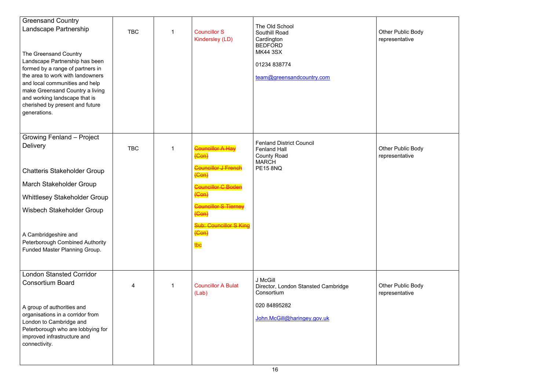| <b>Greensand Country</b><br>The Old School<br>Landscape Partnership<br><b>TBC</b><br><b>Councillor S</b><br><b>Southill Road</b><br>Kindersley (LD)<br>Cardington<br><b>BEDFORD</b><br><b>MK44 3SX</b><br>The Greensand Country<br>Landscape Partnership has been<br>01234 838774<br>formed by a range of partners in<br>the area to work with landowners<br>team@greensandcountry.com<br>and local communities and help<br>make Greensand Country a living<br>and working landscape that is<br>cherished by present and future<br>generations.<br>Growing Fenland - Project<br><b>Fenland District Council</b><br><b>Delivery</b><br><b>Councillor A Hay</b><br><b>TBC</b><br><b>Fenland Hall</b><br>$(Con)$<br><b>County Road</b><br><b>MARCH</b><br><b>Councillor J French</b><br><b>PE15 8NQ</b><br><b>Chatteris Stakeholder Group</b><br>(O <sub>on</sub> )<br>March Stakeholder Group<br><b>Councillor C Bode</b><br>$(Con)$<br><b>Whittlesey Stakeholder Group</b><br><b>Councillor S Tierney</b><br>Wisbech Stakeholder Group<br>$(Con)$<br><b>Sub: Councillor S King</b><br>$(Gen)$<br>A Cambridgeshire and<br><b>Peterborough Combined Authority</b><br>tbc<br>Funded Master Planning Group.<br><b>London Stansted Corridor</b><br>J McGill<br><b>Consortium Board</b><br><b>Councillor A Bulat</b><br>4<br>Director, London Stansted Cambridge<br>Consortium<br>(Lab)<br>020 84895282<br>A group of authorities and<br>organisations in a corridor from<br>John.McGill@haringey.gov.uk<br>London to Cambridge and<br>Peterborough who are lobbying for<br>improved infrastructure and<br>connectivity. |  |  |  |                                   |
|-------------------------------------------------------------------------------------------------------------------------------------------------------------------------------------------------------------------------------------------------------------------------------------------------------------------------------------------------------------------------------------------------------------------------------------------------------------------------------------------------------------------------------------------------------------------------------------------------------------------------------------------------------------------------------------------------------------------------------------------------------------------------------------------------------------------------------------------------------------------------------------------------------------------------------------------------------------------------------------------------------------------------------------------------------------------------------------------------------------------------------------------------------------------------------------------------------------------------------------------------------------------------------------------------------------------------------------------------------------------------------------------------------------------------------------------------------------------------------------------------------------------------------------------------------------------------------------------------------------------|--|--|--|-----------------------------------|
|                                                                                                                                                                                                                                                                                                                                                                                                                                                                                                                                                                                                                                                                                                                                                                                                                                                                                                                                                                                                                                                                                                                                                                                                                                                                                                                                                                                                                                                                                                                                                                                                                   |  |  |  | Other Public Bo<br>representative |
|                                                                                                                                                                                                                                                                                                                                                                                                                                                                                                                                                                                                                                                                                                                                                                                                                                                                                                                                                                                                                                                                                                                                                                                                                                                                                                                                                                                                                                                                                                                                                                                                                   |  |  |  | Other Public Bo<br>representative |
|                                                                                                                                                                                                                                                                                                                                                                                                                                                                                                                                                                                                                                                                                                                                                                                                                                                                                                                                                                                                                                                                                                                                                                                                                                                                                                                                                                                                                                                                                                                                                                                                                   |  |  |  |                                   |
|                                                                                                                                                                                                                                                                                                                                                                                                                                                                                                                                                                                                                                                                                                                                                                                                                                                                                                                                                                                                                                                                                                                                                                                                                                                                                                                                                                                                                                                                                                                                                                                                                   |  |  |  |                                   |
|                                                                                                                                                                                                                                                                                                                                                                                                                                                                                                                                                                                                                                                                                                                                                                                                                                                                                                                                                                                                                                                                                                                                                                                                                                                                                                                                                                                                                                                                                                                                                                                                                   |  |  |  |                                   |
|                                                                                                                                                                                                                                                                                                                                                                                                                                                                                                                                                                                                                                                                                                                                                                                                                                                                                                                                                                                                                                                                                                                                                                                                                                                                                                                                                                                                                                                                                                                                                                                                                   |  |  |  |                                   |
|                                                                                                                                                                                                                                                                                                                                                                                                                                                                                                                                                                                                                                                                                                                                                                                                                                                                                                                                                                                                                                                                                                                                                                                                                                                                                                                                                                                                                                                                                                                                                                                                                   |  |  |  |                                   |
|                                                                                                                                                                                                                                                                                                                                                                                                                                                                                                                                                                                                                                                                                                                                                                                                                                                                                                                                                                                                                                                                                                                                                                                                                                                                                                                                                                                                                                                                                                                                                                                                                   |  |  |  | Other Public Bo<br>representative |
|                                                                                                                                                                                                                                                                                                                                                                                                                                                                                                                                                                                                                                                                                                                                                                                                                                                                                                                                                                                                                                                                                                                                                                                                                                                                                                                                                                                                                                                                                                                                                                                                                   |  |  |  |                                   |

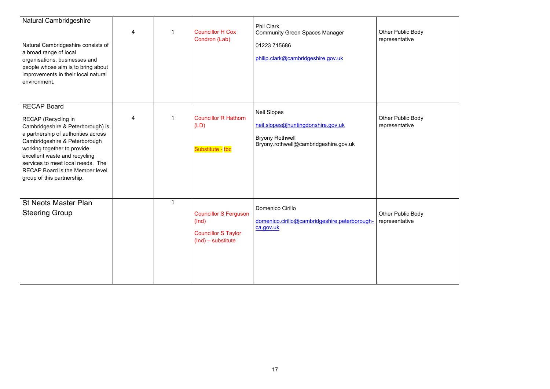| ody |  |  |
|-----|--|--|
|     |  |  |
|     |  |  |
| ody |  |  |
|     |  |  |
|     |  |  |
| ody |  |  |
|     |  |  |
|     |  |  |

| <b>Natural Cambridgeshire</b><br>Natural Cambridgeshire consists of<br>a broad range of local<br>organisations, businesses and<br>people whose aim is to bring about<br>improvements in their local natural<br>environment.                                                                                                         | 4 |   | <b>Councillor H Cox</b><br>Condron (Lab)                                                    | <b>Phil Clark</b><br><b>Community Green Spaces Manager</b><br>01223 715686<br>philip.clark@cambridgeshire.gov.uk            | <b>Other Public Body</b><br>representative |
|-------------------------------------------------------------------------------------------------------------------------------------------------------------------------------------------------------------------------------------------------------------------------------------------------------------------------------------|---|---|---------------------------------------------------------------------------------------------|-----------------------------------------------------------------------------------------------------------------------------|--------------------------------------------|
| <b>RECAP Board</b><br>RECAP (Recycling in<br>Cambridgeshire & Peterborough) is<br>a partnership of authorities across<br>Cambridgeshire & Peterborough<br>working together to provide<br>excellent waste and recycling<br>services to meet local needs. The<br><b>RECAP Board is the Member level</b><br>group of this partnership. | 4 |   | <b>Councillor R Hathorn</b><br>(LD)<br>Substitute - tbc                                     | <b>Neil Slopes</b><br>neil.slopes@huntingdonshire.gov.uk<br><b>Bryony Rothwell</b><br>Bryony.rothwell@cambridgeshire.gov.uk | <b>Other Public Body</b><br>representative |
| <b>St Neots Master Plan</b><br><b>Steering Group</b>                                                                                                                                                                                                                                                                                |   | 1 | <b>Councillor S Ferguson</b><br>(Ind)<br><b>Councillor S Taylor</b><br>$(Ind)$ – substitute | <b>Domenico Cirillo</b><br>domenico.cirillo@cambridgeshire.peterborough-   representative<br>ca.gov.uk                      | <b>Other Public Body</b>                   |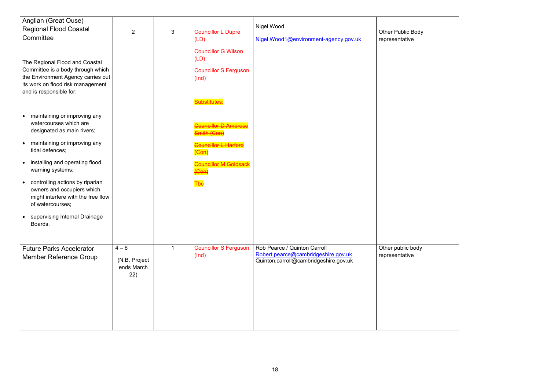| Anglian (Great Ouse)                                                                                                                                                                                                                                                                                                                                                                                                                                                                                                                                                                     |                                               |   |                                                                                                                                                                                                                                                         |                                                                                                              |                                   |
|------------------------------------------------------------------------------------------------------------------------------------------------------------------------------------------------------------------------------------------------------------------------------------------------------------------------------------------------------------------------------------------------------------------------------------------------------------------------------------------------------------------------------------------------------------------------------------------|-----------------------------------------------|---|---------------------------------------------------------------------------------------------------------------------------------------------------------------------------------------------------------------------------------------------------------|--------------------------------------------------------------------------------------------------------------|-----------------------------------|
| <b>Regional Flood Coastal</b>                                                                                                                                                                                                                                                                                                                                                                                                                                                                                                                                                            |                                               |   |                                                                                                                                                                                                                                                         | Nigel Wood,                                                                                                  |                                   |
| Committee                                                                                                                                                                                                                                                                                                                                                                                                                                                                                                                                                                                | $\overline{2}$                                | 3 | <b>Councillor L Dupré</b>                                                                                                                                                                                                                               |                                                                                                              | <b>Other Public B</b>             |
| The Regional Flood and Coastal<br>Committee is a body through which<br>the Environment Agency carries out<br>its work on flood risk management<br>and is responsible for:<br>maintaining or improving any<br>watercourses which are<br>designated as main rivers;<br>maintaining or improving any<br>tidal defences;<br>installing and operating flood<br>$\bullet$<br>warning systems;<br>controlling actions by riparian<br>$\bullet$<br>owners and occupiers which<br>might interfere with the free flow<br>of watercourses;<br>supervising Internal Drainage<br>$\bullet$<br>Boards. |                                               |   | (LD)<br><b>Councillor G Wilson</b><br>(LD)<br><b>Councillor S Ferguson</b><br>(Ind)<br><b>Substitutes:</b><br><b>Councillor D Amb</b><br>Smith (Con)<br><b>Councillor L Harford</b><br>$(Con)$<br><b>Councillor M Goldsac</b><br>$(Gen)$<br><b>T</b> bc | Nigel.Wood1@environment-agency.gov.uk                                                                        | representative                    |
| <b>Future Parks Accelerator</b><br><b>Member Reference Group</b>                                                                                                                                                                                                                                                                                                                                                                                                                                                                                                                         | $4 - 6$<br>(N.B. Project<br>ends March<br>22) | 1 | <b>Councillor S Ferguson</b><br>(Ind)                                                                                                                                                                                                                   | Rob Pearce / Quinton Carroll<br>Robert.pearce@cambridgeshire.gov.uk<br>Quinton.carroll@cambridgeshire.gov.uk | Other public bo<br>representative |

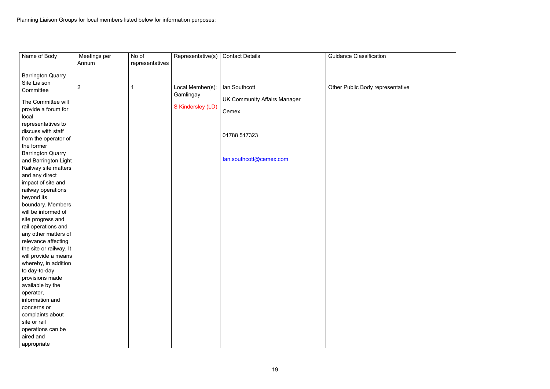

| Name of Body             | Meetings per   | No of           | Representative(s) | <b>Contact Details</b>              | <b>Guidance Classification</b>   |
|--------------------------|----------------|-----------------|-------------------|-------------------------------------|----------------------------------|
|                          | Annum          | representatives |                   |                                     |                                  |
|                          |                |                 |                   |                                     |                                  |
| <b>Barrington Quarry</b> |                |                 |                   |                                     |                                  |
| Site Liaison             | $\overline{2}$ |                 | Local Member(s):  | lan Southcott                       | Other Public Body representative |
| Committee                |                |                 | Gamlingay         |                                     |                                  |
| The Committee will       |                |                 |                   | <b>UK Community Affairs Manager</b> |                                  |
| provide a forum for      |                |                 | S Kindersley (LD) |                                     |                                  |
| local                    |                |                 |                   | Cemex                               |                                  |
| representatives to       |                |                 |                   |                                     |                                  |
| discuss with staff       |                |                 |                   |                                     |                                  |
| from the operator of     |                |                 |                   | 01788 517323                        |                                  |
| the former               |                |                 |                   |                                     |                                  |
| <b>Barrington Quarry</b> |                |                 |                   |                                     |                                  |
| and Barrington Light     |                |                 |                   | lan.southcott@cemex.com             |                                  |
| Railway site matters     |                |                 |                   |                                     |                                  |
| and any direct           |                |                 |                   |                                     |                                  |
| impact of site and       |                |                 |                   |                                     |                                  |
| railway operations       |                |                 |                   |                                     |                                  |
| beyond its               |                |                 |                   |                                     |                                  |
| boundary. Members        |                |                 |                   |                                     |                                  |
| will be informed of      |                |                 |                   |                                     |                                  |
| site progress and        |                |                 |                   |                                     |                                  |
| rail operations and      |                |                 |                   |                                     |                                  |
| any other matters of     |                |                 |                   |                                     |                                  |
| relevance affecting      |                |                 |                   |                                     |                                  |
| the site or railway. It  |                |                 |                   |                                     |                                  |
| will provide a means     |                |                 |                   |                                     |                                  |
| whereby, in addition     |                |                 |                   |                                     |                                  |
| to day-to-day            |                |                 |                   |                                     |                                  |
| provisions made          |                |                 |                   |                                     |                                  |
| available by the         |                |                 |                   |                                     |                                  |
| operator,                |                |                 |                   |                                     |                                  |
| information and          |                |                 |                   |                                     |                                  |
| concerns or              |                |                 |                   |                                     |                                  |
| complaints about         |                |                 |                   |                                     |                                  |
| site or rail             |                |                 |                   |                                     |                                  |
| operations can be        |                |                 |                   |                                     |                                  |
| aired and                |                |                 |                   |                                     |                                  |
| appropriate              |                |                 |                   |                                     |                                  |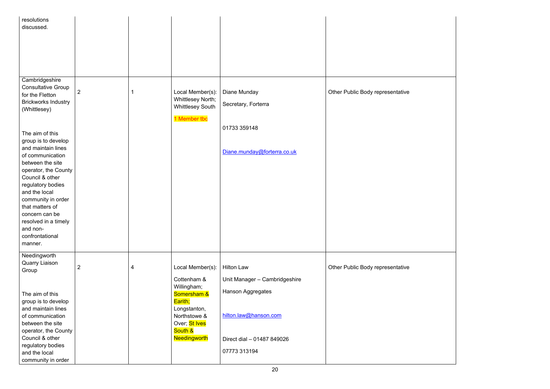

| resolutions                |                |   |                          |                               |                                  |
|----------------------------|----------------|---|--------------------------|-------------------------------|----------------------------------|
| discussed.                 |                |   |                          |                               |                                  |
|                            |                |   |                          |                               |                                  |
|                            |                |   |                          |                               |                                  |
|                            |                |   |                          |                               |                                  |
|                            |                |   |                          |                               |                                  |
|                            |                |   |                          |                               |                                  |
|                            |                |   |                          |                               |                                  |
|                            |                |   |                          |                               |                                  |
| Cambridgeshire             |                |   |                          |                               |                                  |
| <b>Consultative Group</b>  |                |   |                          |                               |                                  |
| for the Fletton            | $\overline{2}$ |   | Local Member(s):         | Diane Munday                  | Other Public Body representative |
| <b>Brickworks Industry</b> |                |   | <b>Whittlesey North;</b> | Secretary, Forterra           |                                  |
| (Whittlesey)               |                |   | <b>Whittlesey South</b>  |                               |                                  |
|                            |                |   |                          |                               |                                  |
|                            |                |   | 1 Member tbc             |                               |                                  |
|                            |                |   |                          | 01733 359148                  |                                  |
| The aim of this            |                |   |                          |                               |                                  |
| group is to develop        |                |   |                          |                               |                                  |
| and maintain lines         |                |   |                          | Diane.munday@forterra.co.uk   |                                  |
| of communication           |                |   |                          |                               |                                  |
| between the site           |                |   |                          |                               |                                  |
| operator, the County       |                |   |                          |                               |                                  |
| Council & other            |                |   |                          |                               |                                  |
| regulatory bodies          |                |   |                          |                               |                                  |
| and the local              |                |   |                          |                               |                                  |
| community in order         |                |   |                          |                               |                                  |
| that matters of            |                |   |                          |                               |                                  |
| concern can be             |                |   |                          |                               |                                  |
| resolved in a timely       |                |   |                          |                               |                                  |
| and non-                   |                |   |                          |                               |                                  |
| confrontational            |                |   |                          |                               |                                  |
|                            |                |   |                          |                               |                                  |
| manner.                    |                |   |                          |                               |                                  |
| Needingworth               |                |   |                          |                               |                                  |
| <b>Quarry Liaison</b>      |                |   |                          |                               |                                  |
| Group                      | $\overline{2}$ | 4 | Local Member(s):         | <b>Hilton Law</b>             | Other Public Body representative |
|                            |                |   |                          |                               |                                  |
|                            |                |   | Cottenham &              | Unit Manager - Cambridgeshire |                                  |
|                            |                |   | Willingham;              | Hanson Aggregates             |                                  |
| The aim of this            |                |   | Somersham &              |                               |                                  |
| group is to develop        |                |   | Earith;                  |                               |                                  |
| and maintain lines         |                |   | Longstanton,             |                               |                                  |
| of communication           |                |   | Northstowe &             | hilton.law@hanson.com         |                                  |
| between the site           |                |   | Over; St Ives            |                               |                                  |
| operator, the County       |                |   | South &                  |                               |                                  |
| Council & other            |                |   | Needingworth             | Direct dial - 01487 849026    |                                  |
| regulatory bodies          |                |   |                          |                               |                                  |
| and the local              |                |   |                          | 07773 313194                  |                                  |
| community in order         |                |   |                          |                               |                                  |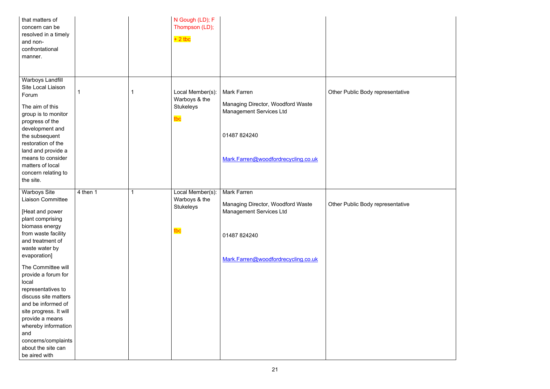

| that matters of<br>concern can be<br>resolved in a timely<br>and non-<br>confrontational<br>manner.                                                                                                                                                                               |          |                | N Gough (LD); F<br>Thompson (LD);<br>$+2$ tbc                |                                                                                                                                                  |                                  |
|-----------------------------------------------------------------------------------------------------------------------------------------------------------------------------------------------------------------------------------------------------------------------------------|----------|----------------|--------------------------------------------------------------|--------------------------------------------------------------------------------------------------------------------------------------------------|----------------------------------|
| <b>Warboys Landfill</b><br>Site Local Liaison<br>Forum<br>The aim of this<br>group is to monitor<br>progress of the<br>development and<br>the subsequent<br>restoration of the<br>land and provide a<br>means to consider<br>matters of local<br>concern relating to<br>the site. | 1        | 1              | Local Member(s):<br>Warboys & the<br><b>Stukeleys</b><br>tbc | <b>Mark Farren</b><br>Managing Director, Woodford Waste<br><b>Management Services Ltd</b><br>01487 824240<br>Mark.Farren@woodfordrecycling.co.uk | Other Public Body representative |
| <b>Warboys Site</b><br><b>Liaison Committee</b><br>[Heat and power<br>plant comprising<br>biomass energy<br>from waste facility<br>and treatment of<br>waste water by<br>evaporation]                                                                                             | 4 then 1 | $\overline{1}$ | Local Member(s):<br>Warboys & the<br><b>Stukeleys</b><br>tbc | Mark Farren<br>Managing Director, Woodford Waste<br><b>Management Services Ltd</b><br>01487 824240<br>Mark.Farren@woodfordrecycling.co.uk        | Other Public Body representative |
| The Committee will<br>provide a forum for<br>local<br>representatives to<br>discuss site matters<br>and be informed of<br>site progress. It will<br>provide a means<br>whereby information<br>and<br>concerns/complaints<br>about the site can<br>be aired with                   |          |                |                                                              |                                                                                                                                                  |                                  |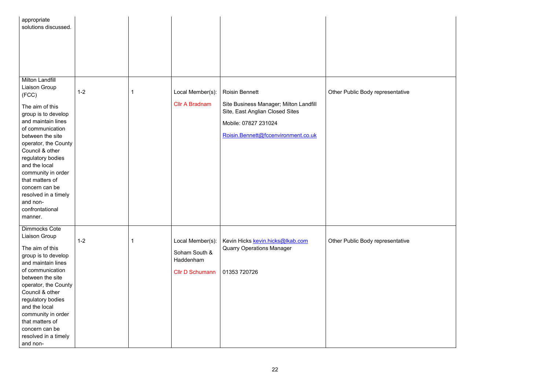

| appropriate<br>solutions discussed.                                                                                                                                                                                                                                                                                                                                           |         |                                                                          |                                                                                                                                                                   |                                  |
|-------------------------------------------------------------------------------------------------------------------------------------------------------------------------------------------------------------------------------------------------------------------------------------------------------------------------------------------------------------------------------|---------|--------------------------------------------------------------------------|-------------------------------------------------------------------------------------------------------------------------------------------------------------------|----------------------------------|
| <b>Milton Landfill</b><br><b>Liaison Group</b><br>(FCC)<br>The aim of this<br>group is to develop<br>and maintain lines<br>of communication<br>between the site<br>operator, the County<br>Council & other<br>regulatory bodies<br>and the local<br>community in order<br>that matters of<br>concern can be<br>resolved in a timely<br>and non-<br>confrontational<br>manner. | $1 - 2$ | Local Member(s):<br><b>Cllr A Bradnam</b>                                | <b>Roisin Bennett</b><br>Site Business Manager; Milton Landfill<br>Site, East Anglian Closed Sites<br>Mobile: 07827 231024<br>Roisin.Bennett@fccenvironment.co.uk | Other Public Body representative |
| <b>Dimmocks Cote</b><br>Liaison Group<br>The aim of this<br>group is to develop<br>and maintain lines<br>of communication<br>between the site<br>operator, the County<br>Council & other<br>regulatory bodies<br>and the local<br>community in order<br>that matters of<br>concern can be<br>resolved in a timely<br>and non-                                                 | $1 - 2$ | Local Member(s):<br>Soham South &<br>Haddenham<br><b>Cllr D Schumann</b> | Kevin Hicks kevin.hicks@lkab.com<br><b>Quarry Operations Manager</b><br>01353 720726                                                                              | Other Public Body representative |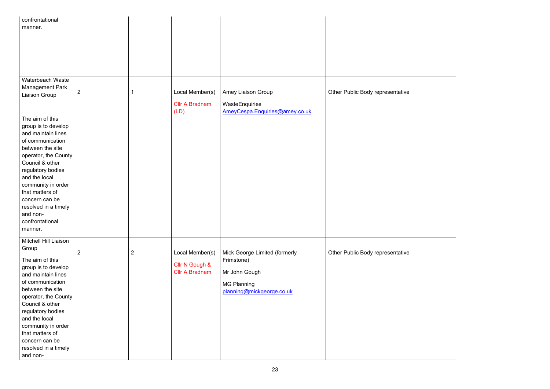

| confrontational                       |                |                |                                         |                                |                                  |
|---------------------------------------|----------------|----------------|-----------------------------------------|--------------------------------|----------------------------------|
| manner.                               |                |                |                                         |                                |                                  |
|                                       |                |                |                                         |                                |                                  |
|                                       |                |                |                                         |                                |                                  |
|                                       |                |                |                                         |                                |                                  |
|                                       |                |                |                                         |                                |                                  |
|                                       |                |                |                                         |                                |                                  |
| Waterbeach Waste                      |                |                |                                         |                                |                                  |
| <b>Management Park</b>                |                |                |                                         |                                |                                  |
| Liaison Group                         | $\overline{2}$ |                | Local Member(s)                         | <b>Amey Liaison Group</b>      | Other Public Body representative |
|                                       |                |                | <b>Cllr A Bradnam</b>                   | WasteEnquiries                 |                                  |
|                                       |                |                | (LD)                                    | AmeyCespa.Enquiries@amey.co.uk |                                  |
| The aim of this                       |                |                |                                         |                                |                                  |
| group is to develop                   |                |                |                                         |                                |                                  |
| and maintain lines                    |                |                |                                         |                                |                                  |
| of communication                      |                |                |                                         |                                |                                  |
| between the site                      |                |                |                                         |                                |                                  |
| operator, the County                  |                |                |                                         |                                |                                  |
| Council & other                       |                |                |                                         |                                |                                  |
| regulatory bodies                     |                |                |                                         |                                |                                  |
| and the local                         |                |                |                                         |                                |                                  |
| community in order<br>that matters of |                |                |                                         |                                |                                  |
| concern can be                        |                |                |                                         |                                |                                  |
| resolved in a timely                  |                |                |                                         |                                |                                  |
| and non-                              |                |                |                                         |                                |                                  |
| confrontational                       |                |                |                                         |                                |                                  |
| manner.                               |                |                |                                         |                                |                                  |
|                                       |                |                |                                         |                                |                                  |
| Mitchell Hill Liaison                 |                |                |                                         |                                |                                  |
| Group                                 | $\overline{2}$ | $\overline{2}$ | Local Member(s)                         | Mick George Limited (formerly  | Other Public Body representative |
| The aim of this                       |                |                |                                         | Frimstone)                     |                                  |
| group is to develop                   |                |                | Cllr N Gough &<br><b>Cllr A Bradnam</b> |                                |                                  |
| and maintain lines                    |                |                |                                         | Mr John Gough                  |                                  |
| of communication                      |                |                |                                         | <b>MG Planning</b>             |                                  |
| between the site                      |                |                |                                         | planning@mickgeorge.co.uk      |                                  |
| operator, the County                  |                |                |                                         |                                |                                  |
| Council & other                       |                |                |                                         |                                |                                  |
| regulatory bodies<br>and the local    |                |                |                                         |                                |                                  |
| community in order                    |                |                |                                         |                                |                                  |
| that matters of                       |                |                |                                         |                                |                                  |
| concern can be                        |                |                |                                         |                                |                                  |
| resolved in a timely                  |                |                |                                         |                                |                                  |
| and non-                              |                |                |                                         |                                |                                  |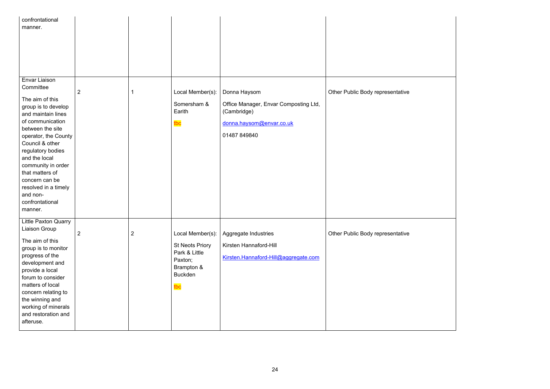

| confrontational<br>manner.                                                                                                                                                                                                                                                     |                |                |                                                                 |                                                                                                                  |                                  |
|--------------------------------------------------------------------------------------------------------------------------------------------------------------------------------------------------------------------------------------------------------------------------------|----------------|----------------|-----------------------------------------------------------------|------------------------------------------------------------------------------------------------------------------|----------------------------------|
| Envar Liaison<br>Committee<br>The aim of this<br>group is to develop<br>and maintain lines<br>of communication<br>between the site<br>operator, the County<br>Council & other<br>regulatory bodies<br>and the local<br>community in order<br>that matters of<br>concern can be | 2              | 1              | Local Member(s):<br>Somersham &<br>Earith<br>tbc                | Donna Haysom<br>Office Manager, Envar Composting Ltd,<br>(Cambridge)<br>donna.haysom@envar.co.uk<br>01487 849840 | Other Public Body representative |
| resolved in a timely<br>and non-<br>confrontational<br>manner.<br>Little Paxton Quarry<br>Liaison Group<br>The aim of this                                                                                                                                                     | $\overline{2}$ | $\overline{2}$ | Local Member(s):<br><b>St Neots Priory</b>                      | Aggregate Industries<br>Kirsten Hannaford-Hill                                                                   | Other Public Body representative |
| group is to monitor<br>progress of the<br>development and<br>provide a local<br>forum to consider<br>matters of local<br>concern relating to<br>the winning and<br>working of minerals<br>and restoration and<br>afteruse.                                                     |                |                | Park & Little<br>Paxton;<br>Brampton &<br><b>Buckden</b><br>tbc | Kirsten.Hannaford-Hill@aggregate.com                                                                             |                                  |